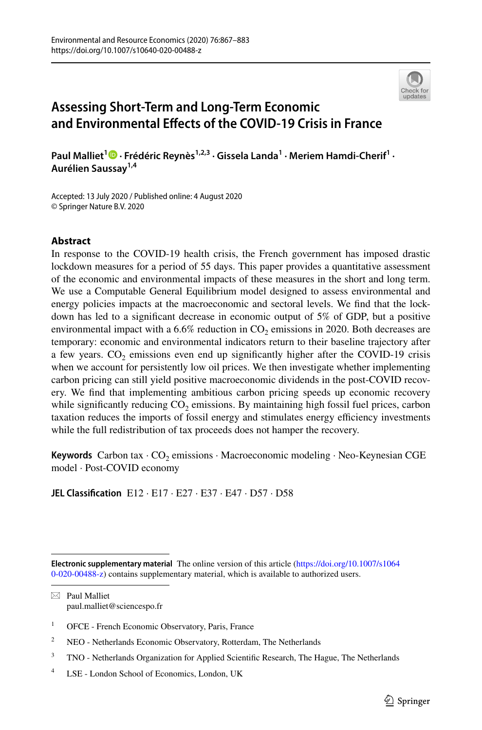

# **Assessing Short‑Term and Long‑Term Economic and Environmental Efects of the COVID‑19 Crisis in France**

PaulMalliet<sup>1</sup> <sup>1</sup> • Frédéric Reynès<sup>1,2,3</sup> • Gissela Landa<sup>1</sup> • Meriem Hamdi-Cherif<sup>1</sup> • **Aurélien Saussay1,4**

Accepted: 13 July 2020 / Published online: 4 August 2020 © Springer Nature B.V. 2020

## **Abstract**

In response to the COVID-19 health crisis, the French government has imposed drastic lockdown measures for a period of 55 days. This paper provides a quantitative assessment of the economic and environmental impacts of these measures in the short and long term. We use a Computable General Equilibrium model designed to assess environmental and energy policies impacts at the macroeconomic and sectoral levels. We fnd that the lockdown has led to a signifcant decrease in economic output of 5% of GDP, but a positive environmental impact with a  $6.6\%$  reduction in CO<sub>2</sub> emissions in 2020. Both decreases are temporary: economic and environmental indicators return to their baseline trajectory after a few years.  $CO<sub>2</sub>$  emissions even end up significantly higher after the COVID-19 crisis when we account for persistently low oil prices. We then investigate whether implementing carbon pricing can still yield positive macroeconomic dividends in the post-COVID recovery. We fnd that implementing ambitious carbon pricing speeds up economic recovery while significantly reducing  $CO<sub>2</sub>$  emissions. By maintaining high fossil fuel prices, carbon taxation reduces the imports of fossil energy and stimulates energy efficiency investments while the full redistribution of tax proceeds does not hamper the recovery.

Keywords Carbon tax · CO<sub>2</sub> emissions · Macroeconomic modeling · Neo-Keynesian CGE model · Post-COVID economy

**JEL Classifcation** E12 · E17 · E27 · E37 · E47 · D57 · D58

 $\boxtimes$  Paul Malliet paul.malliet@sciencespo.fr

**Electronic supplementary material** The online version of this article [\(https://doi.org/10.1007/s1064](https://doi.org/10.1007/s10640-020-00488-z) [0-020-00488-z](https://doi.org/10.1007/s10640-020-00488-z)) contains supplementary material, which is available to authorized users.

<sup>&</sup>lt;sup>1</sup> OFCE - French Economic Observatory, Paris, France

<sup>&</sup>lt;sup>2</sup> NEO - Netherlands Economic Observatory, Rotterdam, The Netherlands

<sup>&</sup>lt;sup>3</sup> TNO - Netherlands Organization for Applied Scientific Research, The Hague, The Netherlands

<sup>4</sup> LSE - London School of Economics, London, UK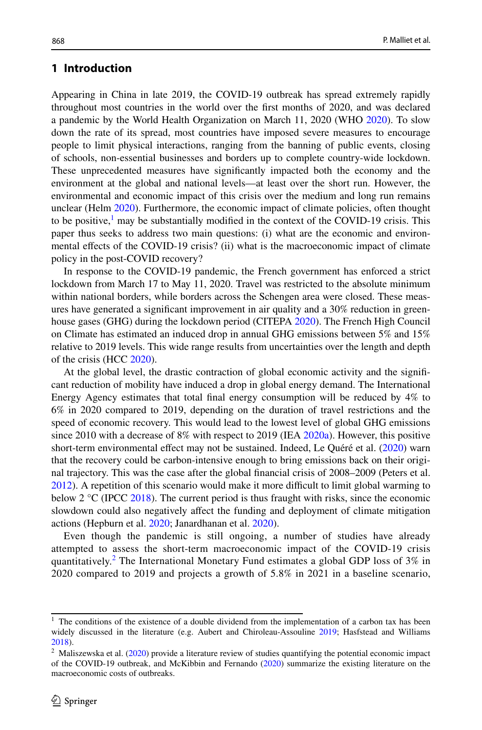# **1 Introduction**

Appearing in China in late 2019, the COVID-19 outbreak has spread extremely rapidly throughout most countries in the world over the frst months of 2020, and was declared a pandemic by the World Health Organization on March 11, 2020 (WHO [2020](#page-16-0)). To slow down the rate of its spread, most countries have imposed severe measures to encourage people to limit physical interactions, ranging from the banning of public events, closing of schools, non-essential businesses and borders up to complete country-wide lockdown. These unprecedented measures have signifcantly impacted both the economy and the environment at the global and national levels—at least over the short run. However, the environmental and economic impact of this crisis over the medium and long run remains unclear (Helm [2020](#page-15-0)). Furthermore, the economic impact of climate policies, often thought to be positive, $\frac{1}{1}$  $\frac{1}{1}$  $\frac{1}{1}$  may be substantially modified in the context of the COVID-19 crisis. This paper thus seeks to address two main questions: (i) what are the economic and environmental efects of the COVID-19 crisis? (ii) what is the macroeconomic impact of climate policy in the post-COVID recovery?

In response to the COVID-19 pandemic, the French government has enforced a strict lockdown from March 17 to May 11, 2020. Travel was restricted to the absolute minimum within national borders, while borders across the Schengen area were closed. These measures have generated a signifcant improvement in air quality and a 30% reduction in greenhouse gases (GHG) during the lockdown period (CITEPA [2020\)](#page-15-1). The French High Council on Climate has estimated an induced drop in annual GHG emissions between 5% and 15% relative to 2019 levels. This wide range results from uncertainties over the length and depth of the crisis (HCC [2020\)](#page-15-2).

At the global level, the drastic contraction of global economic activity and the signifcant reduction of mobility have induced a drop in global energy demand. The International Energy Agency estimates that total fnal energy consumption will be reduced by 4% to 6% in 2020 compared to 2019, depending on the duration of travel restrictions and the speed of economic recovery. This would lead to the lowest level of global GHG emissions since 2010 with a decrease of 8% with respect to 2019 (IEA [2020a](#page-15-3)). However, this positive short-term environmental efect may not be sustained. Indeed, Le Quéré et al. ([2020\)](#page-15-4) warn that the recovery could be carbon-intensive enough to bring emissions back on their original trajectory. This was the case after the global fnancial crisis of 2008–2009 (Peters et al. [2012\)](#page-16-1). A repetition of this scenario would make it more difficult to limit global warming to below 2  $\rm{°C}$  (IPCC [2018\)](#page-15-5). The current period is thus fraught with risks, since the economic slowdown could also negatively afect the funding and deployment of climate mitigation actions (Hepburn et al. [2020;](#page-15-6) Janardhanan et al. [2020](#page-15-7)).

Even though the pandemic is still ongoing, a number of studies have already attempted to assess the short-term macroeconomic impact of the COVID-19 crisis quantitatively.<sup>[2](#page-1-1)</sup> The International Monetary Fund estimates a global GDP loss of 3% in 2020 compared to 2019 and projects a growth of 5.8% in 2021 in a baseline scenario,

<span id="page-1-0"></span><sup>&</sup>lt;sup>1</sup> The conditions of the existence of a double dividend from the implementation of a carbon tax has been widely discussed in the literature (e.g. Aubert and Chiroleau-Assouline [2019](#page-15-8); Hasfstead and Williams [2018\)](#page-15-9).

<span id="page-1-1"></span><sup>2</sup> Maliszewska et al. [\(2020](#page-16-2)) provide a literature review of studies quantifying the potential economic impact of the COVID-19 outbreak, and McKibbin and Fernando  $(2020)$  $(2020)$  summarize the existing literature on the macroeconomic costs of outbreaks.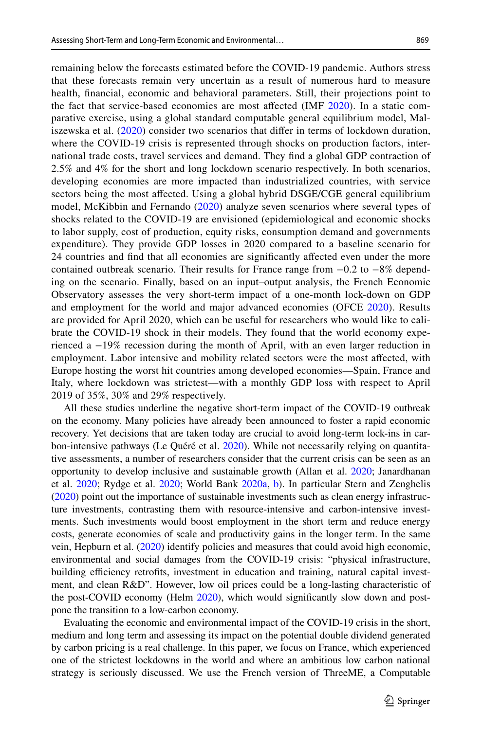remaining below the forecasts estimated before the COVID-19 pandemic. Authors stress that these forecasts remain very uncertain as a result of numerous hard to measure health, fnancial, economic and behavioral parameters. Still, their projections point to the fact that service-based economies are most afected (IMF [2020\)](#page-15-10). In a static comparative exercise, using a global standard computable general equilibrium model, Maliszewska et al. [\(2020\)](#page-16-2) consider two scenarios that difer in terms of lockdown duration, where the COVID-19 crisis is represented through shocks on production factors, international trade costs, travel services and demand. They fnd a global GDP contraction of 2.5% and 4% for the short and long lockdown scenario respectively. In both scenarios, developing economies are more impacted than industrialized countries, with service sectors being the most afected. Using a global hybrid DSGE/CGE general equilibrium model, McKibbin and Fernando [\(2020\)](#page-16-3) analyze seven scenarios where several types of shocks related to the COVID-19 are envisioned (epidemiological and economic shocks to labor supply, cost of production, equity risks, consumption demand and governments expenditure). They provide GDP losses in 2020 compared to a baseline scenario for 24 countries and fnd that all economies are signifcantly afected even under the more contained outbreak scenario. Their results for France range from −0.2 to −8% depending on the scenario. Finally, based on an input–output analysis, the French Economic Observatory assesses the very short-term impact of a one-month lock-down on GDP and employment for the world and major advanced economies (OFCE [2020\)](#page-16-4). Results are provided for April 2020, which can be useful for researchers who would like to calibrate the COVID-19 shock in their models. They found that the world economy experienced a −19% recession during the month of April, with an even larger reduction in employment. Labor intensive and mobility related sectors were the most afected, with Europe hosting the worst hit countries among developed economies—Spain, France and Italy, where lockdown was strictest—with a monthly GDP loss with respect to April 2019 of 35%, 30% and 29% respectively.

All these studies underline the negative short-term impact of the COVID-19 outbreak on the economy. Many policies have already been announced to foster a rapid economic recovery. Yet decisions that are taken today are crucial to avoid long-term lock-ins in carbon-intensive pathways (Le Quéré et al. [2020](#page-15-4)). While not necessarily relying on quantitative assessments, a number of researchers consider that the current crisis can be seen as an opportunity to develop inclusive and sustainable growth (Allan et al. [2020](#page-15-11); Janardhanan et al. [2020;](#page-15-7) Rydge et al. [2020](#page-16-5); World Bank [2020a,](#page-16-6) [b](#page-16-7)). In particular Stern and Zenghelis ([2020\)](#page-16-8) point out the importance of sustainable investments such as clean energy infrastructure investments, contrasting them with resource-intensive and carbon-intensive investments. Such investments would boost employment in the short term and reduce energy costs, generate economies of scale and productivity gains in the longer term. In the same vein, Hepburn et al. ([2020\)](#page-15-6) identify policies and measures that could avoid high economic, environmental and social damages from the COVID-19 crisis: "physical infrastructure, building efficiency retrofits, investment in education and training, natural capital investment, and clean R&D". However, low oil prices could be a long-lasting characteristic of the post-COVID economy (Helm [2020\)](#page-15-0), which would signifcantly slow down and postpone the transition to a low-carbon economy.

Evaluating the economic and environmental impact of the COVID-19 crisis in the short, medium and long term and assessing its impact on the potential double dividend generated by carbon pricing is a real challenge. In this paper, we focus on France, which experienced one of the strictest lockdowns in the world and where an ambitious low carbon national strategy is seriously discussed. We use the French version of ThreeME, a Computable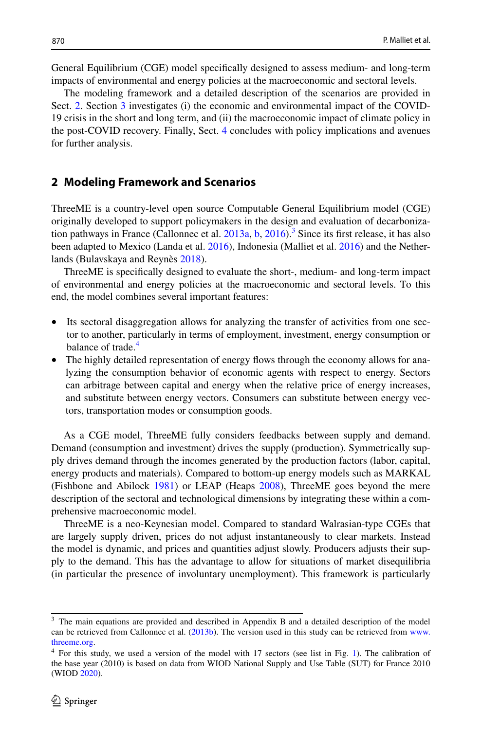General Equilibrium (CGE) model specifcally designed to assess medium- and long-term impacts of environmental and energy policies at the macroeconomic and sectoral levels.

The modeling framework and a detailed description of the scenarios are provided in Sect. [2](#page-3-0). Section [3](#page-6-0) investigates (i) the economic and environmental impact of the COVID-19 crisis in the short and long term, and (ii) the macroeconomic impact of climate policy in the post-COVID recovery. Finally, Sect. [4](#page-9-0) concludes with policy implications and avenues for further analysis.

## <span id="page-3-0"></span>**2 Modeling Framework and Scenarios**

ThreeME is a country-level open source Computable General Equilibrium model (CGE) originally developed to support policymakers in the design and evaluation of decarbonization pathways in France (Callonnec et al.  $2013a$  $2013a$  $2013a$ , [b,](#page-15-13)  $2016$ ).<sup>3</sup> Since its first release, it has also been adapted to Mexico (Landa et al. [2016\)](#page-15-15), Indonesia (Malliet et al. [2016](#page-16-9)) and the Netherlands (Bulavskaya and Reynès [2018](#page-15-16)).

ThreeME is specifcally designed to evaluate the short-, medium- and long-term impact of environmental and energy policies at the macroeconomic and sectoral levels. To this end, the model combines several important features:

- Its sectoral disaggregation allows for analyzing the transfer of activities from one sector to another, particularly in terms of employment, investment, energy consumption or balance of trade.<sup>[4](#page-3-2)</sup>
- The highly detailed representation of energy flows through the economy allows for analyzing the consumption behavior of economic agents with respect to energy. Sectors can arbitrage between capital and energy when the relative price of energy increases, and substitute between energy vectors. Consumers can substitute between energy vectors, transportation modes or consumption goods.

As a CGE model, ThreeME fully considers feedbacks between supply and demand. Demand (consumption and investment) drives the supply (production). Symmetrically supply drives demand through the incomes generated by the production factors (labor, capital, energy products and materials). Compared to bottom-up energy models such as MARKAL (Fishbone and Abilock [1981](#page-15-17)) or LEAP (Heaps [2008\)](#page-15-18), ThreeME goes beyond the mere description of the sectoral and technological dimensions by integrating these within a comprehensive macroeconomic model.

ThreeME is a neo-Keynesian model. Compared to standard Walrasian-type CGEs that are largely supply driven, prices do not adjust instantaneously to clear markets. Instead the model is dynamic, and prices and quantities adjust slowly. Producers adjusts their supply to the demand. This has the advantage to allow for situations of market disequilibria (in particular the presence of involuntary unemployment). This framework is particularly

<span id="page-3-1"></span><sup>3</sup> The main equations are provided and described in Appendix B and a detailed description of the model can be retrieved from Callonnec et al. ([2013b\)](#page-15-13). The version used in this study can be retrieved from [www.](http://www.threeme.org) [threeme.org](http://www.threeme.org).

<span id="page-3-2"></span><sup>&</sup>lt;sup>4</sup> For this study, we used a version of the model with [1](#page-4-0)7 sectors (see list in Fig. 1). The calibration of the base year (2010) is based on data from WIOD National Supply and Use Table (SUT) for France 2010 (WIOD [2020](#page-16-10)).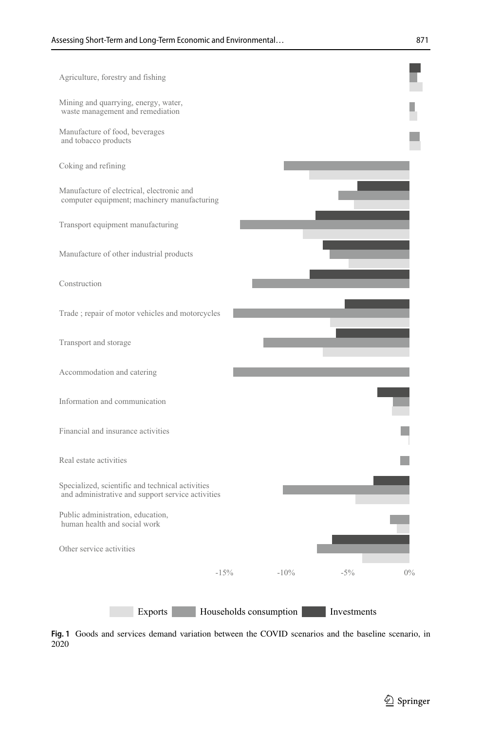

<span id="page-4-0"></span>**Fig. 1** Goods and services demand variation between the COVID scenarios and the baseline scenario, in 2020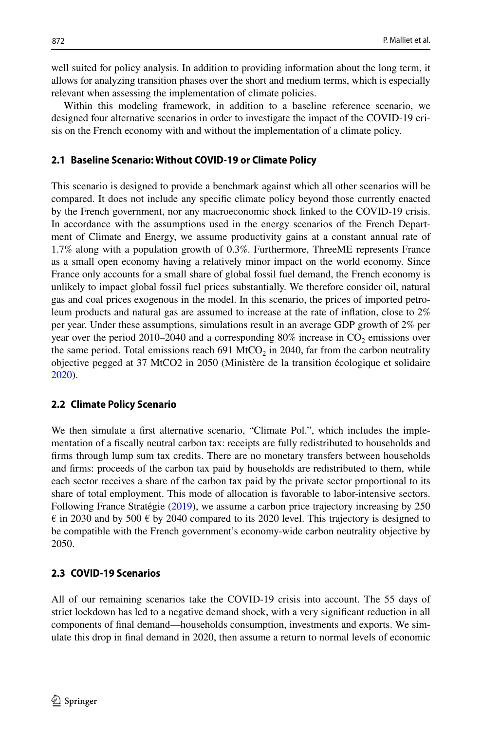well suited for policy analysis. In addition to providing information about the long term, it allows for analyzing transition phases over the short and medium terms, which is especially relevant when assessing the implementation of climate policies.

Within this modeling framework, in addition to a baseline reference scenario, we designed four alternative scenarios in order to investigate the impact of the COVID-19 crisis on the French economy with and without the implementation of a climate policy.

#### **2.1 Baseline Scenario: Without COVID‑19 or Climate Policy**

This scenario is designed to provide a benchmark against which all other scenarios will be compared. It does not include any specifc climate policy beyond those currently enacted by the French government, nor any macroeconomic shock linked to the COVID-19 crisis. In accordance with the assumptions used in the energy scenarios of the French Department of Climate and Energy, we assume productivity gains at a constant annual rate of 1.7% along with a population growth of 0.3%. Furthermore, ThreeME represents France as a small open economy having a relatively minor impact on the world economy. Since France only accounts for a small share of global fossil fuel demand, the French economy is unlikely to impact global fossil fuel prices substantially. We therefore consider oil, natural gas and coal prices exogenous in the model. In this scenario, the prices of imported petroleum products and natural gas are assumed to increase at the rate of infation, close to 2% per year. Under these assumptions, simulations result in an average GDP growth of 2% per year over the period 2010–2040 and a corresponding  $80\%$  increase in CO<sub>2</sub> emissions over the same period. Total emissions reach 691 MtCO<sub>2</sub> in 2040, far from the carbon neutrality objective pegged at 37 MtCO2 in 2050 (Ministère de la transition écologique et solidaire [2020\)](#page-16-11).

#### **2.2 Climate Policy Scenario**

We then simulate a frst alternative scenario, "Climate Pol.", which includes the implementation of a fscally neutral carbon tax: receipts are fully redistributed to households and frms through lump sum tax credits. There are no monetary transfers between households and frms: proceeds of the carbon tax paid by households are redistributed to them, while each sector receives a share of the carbon tax paid by the private sector proportional to its share of total employment. This mode of allocation is favorable to labor-intensive sectors. Following France Stratégie [\(2019](#page-15-19)), we assume a carbon price trajectory increasing by 250  $\epsilon$  in 2030 and by 500  $\epsilon$  by 2040 compared to its 2020 level. This trajectory is designed to be compatible with the French government's economy-wide carbon neutrality objective by 2050.

#### **2.3 COVID‑19 Scenarios**

All of our remaining scenarios take the COVID-19 crisis into account. The 55 days of strict lockdown has led to a negative demand shock, with a very signifcant reduction in all components of fnal demand—households consumption, investments and exports. We simulate this drop in fnal demand in 2020, then assume a return to normal levels of economic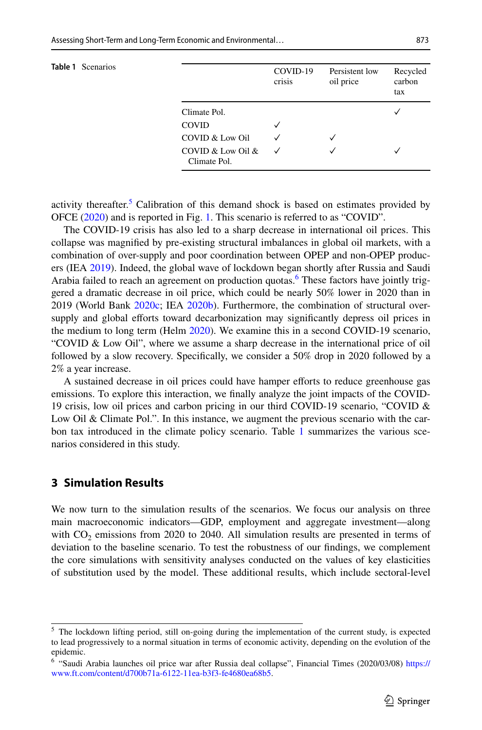<span id="page-6-3"></span>

| <b>Table 1</b> Scenarios |                                   | COVID-19<br>crisis | Persistent low<br>oil price | Recycled<br>carbon<br>tax |
|--------------------------|-----------------------------------|--------------------|-----------------------------|---------------------------|
|                          | Climate Pol.                      |                    |                             | $\checkmark$              |
|                          | <b>COVID</b>                      | $\checkmark$       |                             |                           |
|                          | COVID & Low Oil                   | ✓                  |                             |                           |
|                          | COVID & Low Oil &<br>Climate Pol. | ✓                  |                             | ✓                         |

activity thereafter.<sup>5</sup> Calibration of this demand shock is based on estimates provided by OFCE ([2020\)](#page-16-4) and is reported in Fig. [1](#page-4-0). This scenario is referred to as "COVID".

The COVID-19 crisis has also led to a sharp decrease in international oil prices. This collapse was magnifed by pre-existing structural imbalances in global oil markets, with a combination of over-supply and poor coordination between OPEP and non-OPEP producers (IEA [2019](#page-15-20)). Indeed, the global wave of lockdown began shortly after Russia and Saudi Arabia failed to reach an agreement on production quotas.<sup>6</sup> These factors have jointly triggered a dramatic decrease in oil price, which could be nearly 50% lower in 2020 than in 2019 (World Bank [2020c;](#page-16-12) IEA [2020b](#page-15-21)). Furthermore, the combination of structural oversupply and global efforts toward decarbonization may significantly depress oil prices in the medium to long term (Helm [2020\)](#page-15-0). We examine this in a second COVID-19 scenario, "COVID & Low Oil", where we assume a sharp decrease in the international price of oil followed by a slow recovery. Specifcally, we consider a 50% drop in 2020 followed by a 2% a year increase.

A sustained decrease in oil prices could have hamper eforts to reduce greenhouse gas emissions. To explore this interaction, we fnally analyze the joint impacts of the COVID-19 crisis, low oil prices and carbon pricing in our third COVID-19 scenario, "COVID & Low Oil & Climate Pol.". In this instance, we augment the previous scenario with the car-bon tax introduced in the climate policy scenario. Table [1](#page-6-3) summarizes the various scenarios considered in this study.

# <span id="page-6-0"></span>**3 Simulation Results**

We now turn to the simulation results of the scenarios. We focus our analysis on three main macroeconomic indicators—GDP, employment and aggregate investment—along with  $CO<sub>2</sub>$  emissions from 2020 to 2040. All simulation results are presented in terms of deviation to the baseline scenario. To test the robustness of our fndings, we complement the core simulations with sensitivity analyses conducted on the values of key elasticities of substitution used by the model. These additional results, which include sectoral-level

<span id="page-6-1"></span><sup>&</sup>lt;sup>5</sup> The lockdown lifting period, still on-going during the implementation of the current study, is expected to lead progressively to a normal situation in terms of economic activity, depending on the evolution of the epidemic.

<span id="page-6-2"></span><sup>6</sup> "Saudi Arabia launches oil price war after Russia deal collapse", Financial Times (2020/03/08) [https://](https://www.ft.com/content/d700b71a-6122-11ea-b3f3-fe4680ea68b5) [www.ft.com/content/d700b71a-6122-11ea-b3f3-fe4680ea68b5](https://www.ft.com/content/d700b71a-6122-11ea-b3f3-fe4680ea68b5).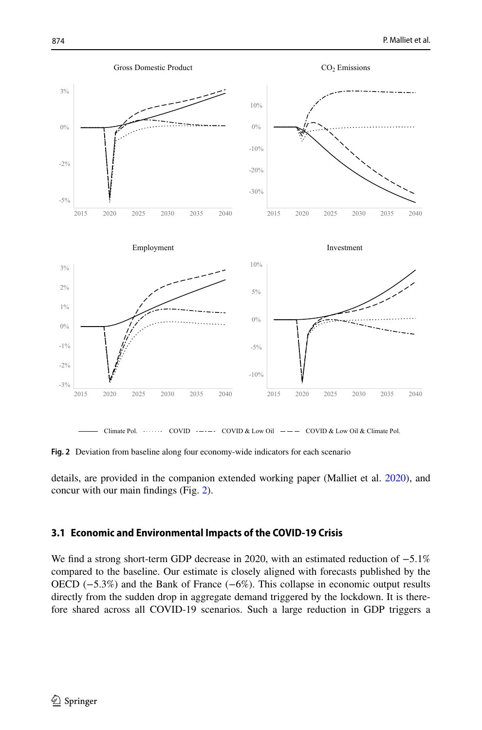

<span id="page-7-0"></span>**Fig. 2** Deviation from baseline along four economy-wide indicators for each scenario

details, are provided in the companion extended working paper (Malliet et al. [2020](#page-16-13)), and concur with our main fndings (Fig. [2](#page-7-0)).

## **3.1 Economic and Environmental Impacts of the COVID‑19 Crisis**

We fnd a strong short-term GDP decrease in 2020, with an estimated reduction of −5.1% compared to the baseline. Our estimate is closely aligned with forecasts published by the OECD (−5.3%) and the Bank of France (−6%). This collapse in economic output results directly from the sudden drop in aggregate demand triggered by the lockdown. It is therefore shared across all COVID-19 scenarios. Such a large reduction in GDP triggers a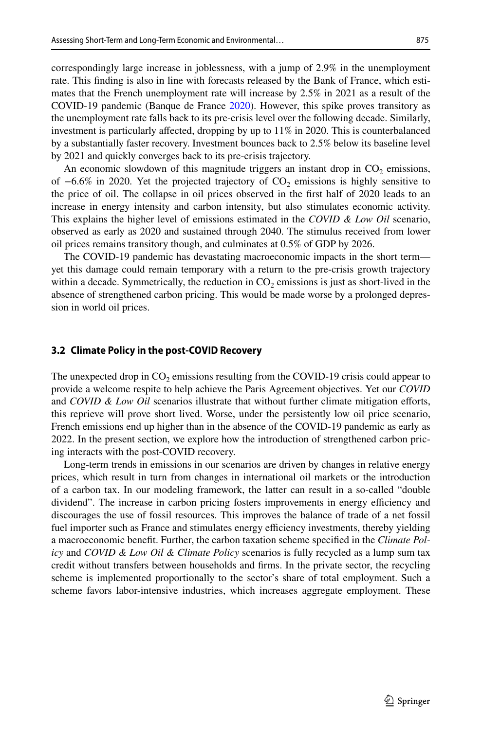correspondingly large increase in joblessness, with a jump of 2.9% in the unemployment rate. This fnding is also in line with forecasts released by the Bank of France, which estimates that the French unemployment rate will increase by 2.5% in 2021 as a result of the COVID-19 pandemic (Banque de France [2020](#page-15-22)). However, this spike proves transitory as the unemployment rate falls back to its pre-crisis level over the following decade. Similarly, investment is particularly afected, dropping by up to 11% in 2020. This is counterbalanced by a substantially faster recovery. Investment bounces back to 2.5% below its baseline level by 2021 and quickly converges back to its pre-crisis trajectory.

An economic slowdown of this magnitude triggers an instant drop in  $CO<sub>2</sub>$  emissions, of  $-6.6\%$  in 2020. Yet the projected trajectory of CO<sub>2</sub> emissions is highly sensitive to the price of oil. The collapse in oil prices observed in the frst half of 2020 leads to an increase in energy intensity and carbon intensity, but also stimulates economic activity. This explains the higher level of emissions estimated in the *COVID & Low Oil* scenario, observed as early as 2020 and sustained through 2040. The stimulus received from lower oil prices remains transitory though, and culminates at 0.5% of GDP by 2026.

The COVID-19 pandemic has devastating macroeconomic impacts in the short term yet this damage could remain temporary with a return to the pre-crisis growth trajectory within a decade. Symmetrically, the reduction in  $CO<sub>2</sub>$  emissions is just as short-lived in the absence of strengthened carbon pricing. This would be made worse by a prolonged depression in world oil prices.

#### **3.2 Climate Policy in the post‑COVID Recovery**

The unexpected drop in  $CO<sub>2</sub>$  emissions resulting from the COVID-19 crisis could appear to provide a welcome respite to help achieve the Paris Agreement objectives. Yet our *COVID* and *COVID & Low Oil* scenarios illustrate that without further climate mitigation efforts, this reprieve will prove short lived. Worse, under the persistently low oil price scenario, French emissions end up higher than in the absence of the COVID-19 pandemic as early as 2022. In the present section, we explore how the introduction of strengthened carbon pricing interacts with the post-COVID recovery.

Long-term trends in emissions in our scenarios are driven by changes in relative energy prices, which result in turn from changes in international oil markets or the introduction of a carbon tax. In our modeling framework, the latter can result in a so-called "double dividend". The increase in carbon pricing fosters improvements in energy efficiency and discourages the use of fossil resources. This improves the balance of trade of a net fossil fuel importer such as France and stimulates energy efficiency investments, thereby yielding a macroeconomic beneft. Further, the carbon taxation scheme specifed in the *Climate Policy* and *COVID & Low Oil & Climate Policy* scenarios is fully recycled as a lump sum tax credit without transfers between households and frms. In the private sector, the recycling scheme is implemented proportionally to the sector's share of total employment. Such a scheme favors labor-intensive industries, which increases aggregate employment. These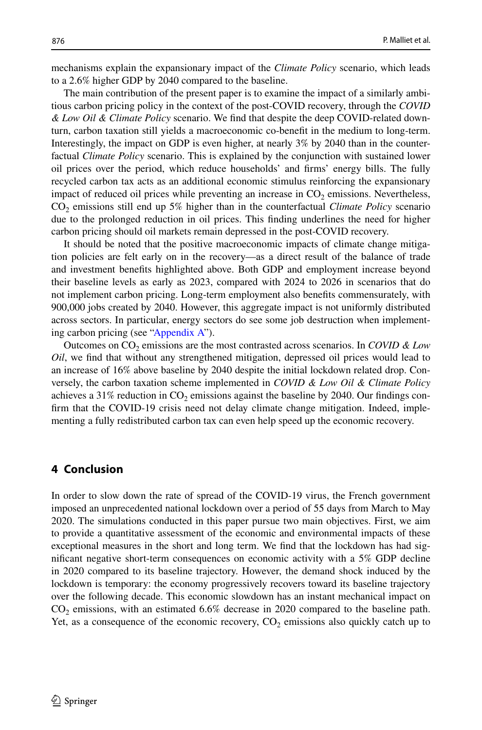mechanisms explain the expansionary impact of the *Climate Policy* scenario, which leads to a 2.6% higher GDP by 2040 compared to the baseline.

The main contribution of the present paper is to examine the impact of a similarly ambitious carbon pricing policy in the context of the post-COVID recovery, through the *COVID & Low Oil & Climate Policy* scenario. We fnd that despite the deep COVID-related downturn, carbon taxation still yields a macroeconomic co-beneft in the medium to long-term. Interestingly, the impact on GDP is even higher, at nearly 3% by 2040 than in the counterfactual *Climate Policy* scenario. This is explained by the conjunction with sustained lower oil prices over the period, which reduce households' and frms' energy bills. The fully recycled carbon tax acts as an additional economic stimulus reinforcing the expansionary impact of reduced oil prices while preventing an increase in  $CO<sub>2</sub>$  emissions. Nevertheless, CO2 emissions still end up 5% higher than in the counterfactual *Climate Policy* scenario due to the prolonged reduction in oil prices. This fnding underlines the need for higher carbon pricing should oil markets remain depressed in the post-COVID recovery.

It should be noted that the positive macroeconomic impacts of climate change mitigation policies are felt early on in the recovery—as a direct result of the balance of trade and investment benefts highlighted above. Both GDP and employment increase beyond their baseline levels as early as 2023, compared with 2024 to 2026 in scenarios that do not implement carbon pricing. Long-term employment also benefts commensurately, with 900,000 jobs created by 2040. However, this aggregate impact is not uniformly distributed across sectors. In particular, energy sectors do see some job destruction when implementing carbon pricing (see ["Appendix A](#page-10-0)").

Outcomes on CO2 emissions are the most contrasted across scenarios. In *COVID & Low Oil*, we fnd that without any strengthened mitigation, depressed oil prices would lead to an increase of 16% above baseline by 2040 despite the initial lockdown related drop. Conversely, the carbon taxation scheme implemented in *COVID & Low Oil & Climate Policy* achieves a 31% reduction in  $CO<sub>2</sub>$  emissions against the baseline by 2040. Our findings confrm that the COVID-19 crisis need not delay climate change mitigation. Indeed, implementing a fully redistributed carbon tax can even help speed up the economic recovery.

#### <span id="page-9-0"></span>**4 Conclusion**

In order to slow down the rate of spread of the COVID-19 virus, the French government imposed an unprecedented national lockdown over a period of 55 days from March to May 2020. The simulations conducted in this paper pursue two main objectives. First, we aim to provide a quantitative assessment of the economic and environmental impacts of these exceptional measures in the short and long term. We fnd that the lockdown has had signifcant negative short-term consequences on economic activity with a 5% GDP decline in 2020 compared to its baseline trajectory. However, the demand shock induced by the lockdown is temporary: the economy progressively recovers toward its baseline trajectory over the following decade. This economic slowdown has an instant mechanical impact on  $CO<sub>2</sub>$  emissions, with an estimated 6.6% decrease in 2020 compared to the baseline path. Yet, as a consequence of the economic recovery,  $CO<sub>2</sub>$  emissions also quickly catch up to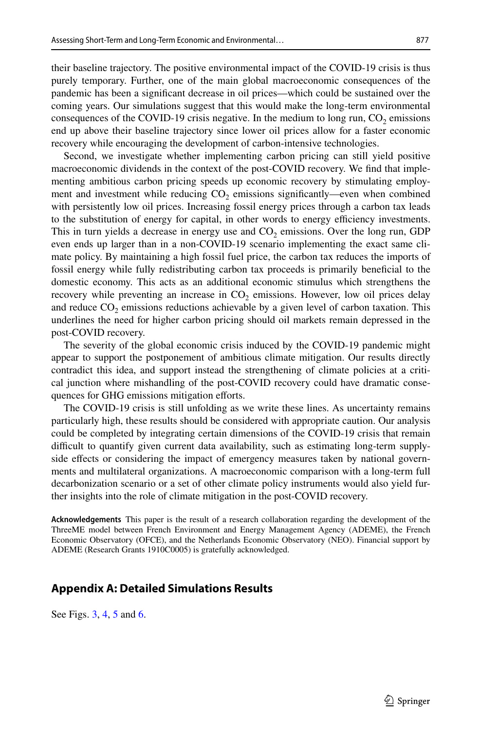their baseline trajectory. The positive environmental impact of the COVID-19 crisis is thus purely temporary. Further, one of the main global macroeconomic consequences of the pandemic has been a signifcant decrease in oil prices—which could be sustained over the coming years. Our simulations suggest that this would make the long-term environmental consequences of the COVID-19 crisis negative. In the medium to long run,  $CO<sub>2</sub>$  emissions end up above their baseline trajectory since lower oil prices allow for a faster economic recovery while encouraging the development of carbon-intensive technologies.

Second, we investigate whether implementing carbon pricing can still yield positive macroeconomic dividends in the context of the post-COVID recovery. We fnd that implementing ambitious carbon pricing speeds up economic recovery by stimulating employment and investment while reducing  $CO<sub>2</sub>$  emissions significantly—even when combined with persistently low oil prices. Increasing fossil energy prices through a carbon tax leads to the substitution of energy for capital, in other words to energy efficiency investments. This in turn yields a decrease in energy use and  $CO<sub>2</sub>$  emissions. Over the long run, GDP even ends up larger than in a non-COVID-19 scenario implementing the exact same climate policy. By maintaining a high fossil fuel price, the carbon tax reduces the imports of fossil energy while fully redistributing carbon tax proceeds is primarily benefcial to the domestic economy. This acts as an additional economic stimulus which strengthens the recovery while preventing an increase in  $CO<sub>2</sub>$  emissions. However, low oil prices delay and reduce  $CO<sub>2</sub>$  emissions reductions achievable by a given level of carbon taxation. This underlines the need for higher carbon pricing should oil markets remain depressed in the post-COVID recovery.

The severity of the global economic crisis induced by the COVID-19 pandemic might appear to support the postponement of ambitious climate mitigation. Our results directly contradict this idea, and support instead the strengthening of climate policies at a critical junction where mishandling of the post-COVID recovery could have dramatic consequences for GHG emissions mitigation efforts.

The COVID-19 crisis is still unfolding as we write these lines. As uncertainty remains particularly high, these results should be considered with appropriate caution. Our analysis could be completed by integrating certain dimensions of the COVID-19 crisis that remain difficult to quantify given current data availability, such as estimating long-term supplyside efects or considering the impact of emergency measures taken by national governments and multilateral organizations. A macroeconomic comparison with a long-term full decarbonization scenario or a set of other climate policy instruments would also yield further insights into the role of climate mitigation in the post-COVID recovery.

**Acknowledgements** This paper is the result of a research collaboration regarding the development of the ThreeME model between French Environment and Energy Management Agency (ADEME), the French Economic Observatory (OFCE), and the Netherlands Economic Observatory (NEO). Financial support by ADEME (Research Grants 1910C0005) is gratefully acknowledged.

## <span id="page-10-0"></span>**Appendix A: Detailed Simulations Results**

See Figs. [3,](#page-11-0) [4](#page-12-0), [5](#page-13-0) and [6.](#page-14-0)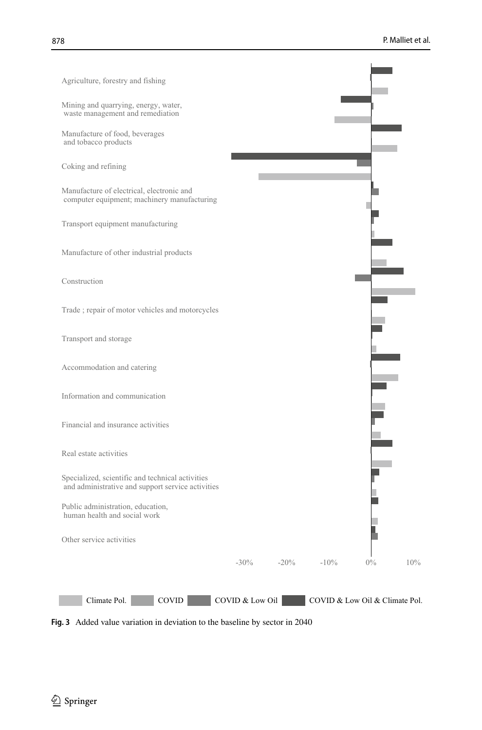

<span id="page-11-0"></span>**Fig. 3** Added value variation in deviation to the baseline by sector in 2040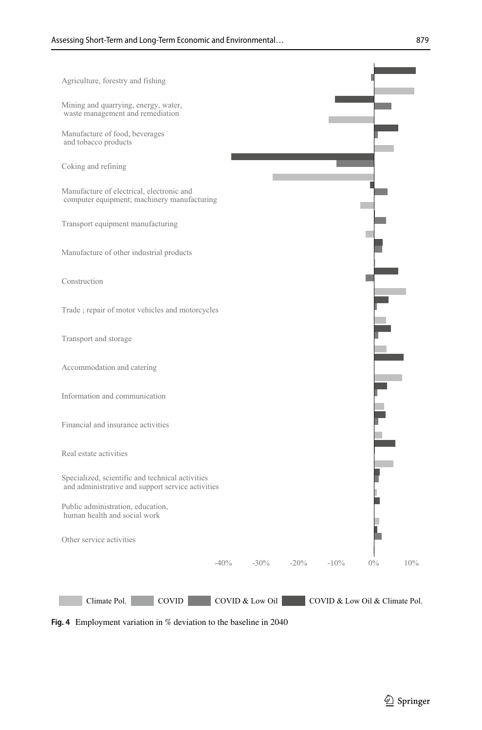

<span id="page-12-0"></span>**Fig. 4** Employment variation in % deviation to the baseline in 2040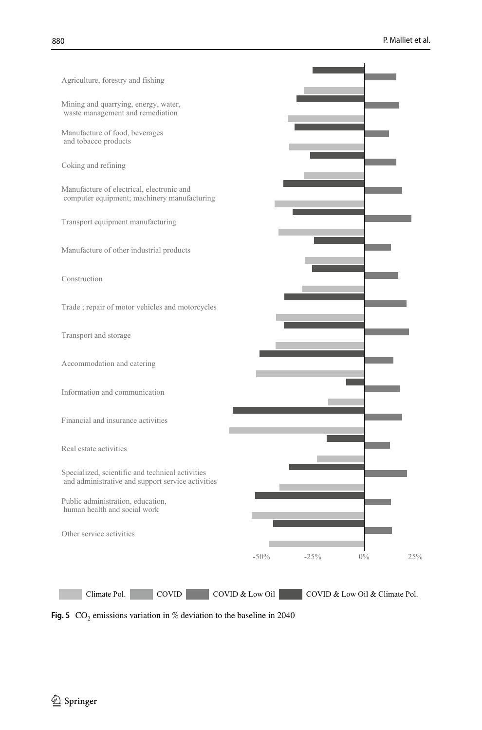

<span id="page-13-0"></span>**Fig. 5**  $CO_2$  emissions variation in % deviation to the baseline in 2040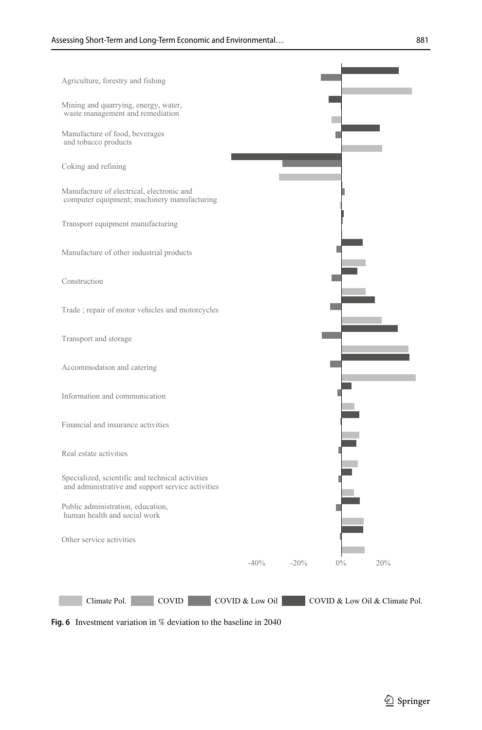

<span id="page-14-0"></span>**Fig. 6** Investment variation in % deviation to the baseline in 2040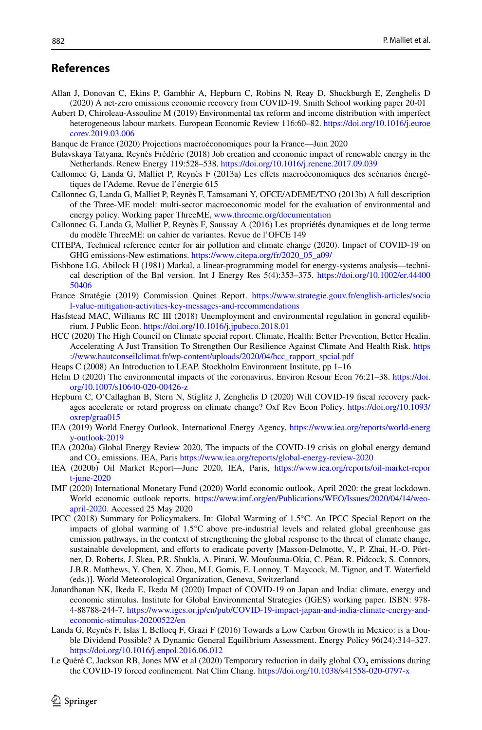# **References**

- <span id="page-15-11"></span>Allan J, Donovan C, Ekins P, Gambhir A, Hepburn C, Robins N, Reay D, Shuckburgh E, Zenghelis D (2020) A net-zero emissions economic recovery from COVID-19. Smith School working paper 20-01
- <span id="page-15-8"></span>Aubert D, Chiroleau-Assouline M (2019) Environmental tax reform and income distribution with imperfect heterogeneous labour markets. European Economic Review 116:60–82. [https://doi.org/10.1016/j.euroe](https://doi.org/10.1016/j.euroecorev.2019.03.006) [corev.2019.03.006](https://doi.org/10.1016/j.euroecorev.2019.03.006)
- <span id="page-15-22"></span>Banque de France (2020) Projections macroéconomiques pour la France—Juin 2020
- <span id="page-15-16"></span>Bulavskaya Tatyana, Reynès Frédéric (2018) Job creation and economic impact of renewable energy in the Netherlands. Renew Energy 119:528–538.<https://doi.org/10.1016/j.renene.2017.09.039>
- <span id="page-15-12"></span>Callonnec G, Landa G, Malliet P, Reynès F (2013a) Les efets macroéconomiques des scénarios énergétiques de l'Ademe. Revue de l'énergie 615
- <span id="page-15-13"></span>Callonnec G, Landa G, Malliet P, Reynès F, Tamsamani Y, OFCE/ADEME/TNO (2013b) A full description of the Three-ME model: multi-sector macroeconomic model for the evaluation of environmental and energy policy. Working paper ThreeME, [www.threeme.org/documentation](http://www.threeme.org/documentation)
- <span id="page-15-14"></span>Callonnec G, Landa G, Malliet P, Reynès F, Saussay A (2016) Les propriétés dynamiques et de long terme du modèle ThreeME: un cahier de variantes. Revue de l'OFCE 149
- <span id="page-15-1"></span>CITEPA, Technical reference center for air pollution and climate change (2020). Impact of COVID-19 on GHG emissions-New estimations. [https://www.citepa.org/fr/2020\\_05\\_a09/](https://www.citepa.org/fr/2020_05_a09/)
- <span id="page-15-17"></span>Fishbone LG, Abilock H (1981) Markal, a linear-programming model for energy-systems analysis—technical description of the Bnl version. Int J Energy Res 5(4):353–375. [https://doi.org/10.1002/er.44400](https://doi.org/10.1002/er.4440050406) [50406](https://doi.org/10.1002/er.4440050406)
- <span id="page-15-19"></span>France Stratégie (2019) Commission Quinet Report. [https://www.strategie.gouv.fr/english-articles/socia](https://www.strategie.gouv.fr/english-articles/social-value-mitigation-activities-key-messages-and-recommendations) [l-value-mitigation-activities-key-messages-and-recommendations](https://www.strategie.gouv.fr/english-articles/social-value-mitigation-activities-key-messages-and-recommendations)
- <span id="page-15-9"></span>Hasfstead MAC, Williams RC III (2018) Unemployment and environmental regulation in general equilibrium. J Public Econ. <https://doi.org/10.1016/j.jpubeco.2018.01>
- <span id="page-15-2"></span>HCC (2020) The High Council on Climate special report. Climate, Health: Better Prevention, Better Healin. Accelerating A Just Transition To Strengthen Our Resilience Against Climate And Health Risk. [https](https://www.hautconseilclimat.fr/wp-content/uploads/2020/04/hcc_rapport_spcial.pdf) [://www.hautconseilclimat.fr/wp-content/uploads/2020/04/hcc\\_rapport\\_spcial.pdf](https://www.hautconseilclimat.fr/wp-content/uploads/2020/04/hcc_rapport_spcial.pdf)
- <span id="page-15-18"></span>Heaps C (2008) An Introduction to LEAP. Stockholm Environment Institute, pp 1–16
- <span id="page-15-0"></span>Helm D (2020) The environmental impacts of the coronavirus. Environ Resour Econ 76:21–38. [https://doi.](https://doi.org/10.1007/s10640-020-00426-z) [org/10.1007/s10640-020-00426-z](https://doi.org/10.1007/s10640-020-00426-z)
- <span id="page-15-6"></span>Hepburn C, O'Callaghan B, Stern N, Stiglitz J, Zenghelis D (2020) Will COVID-19 fscal recovery packages accelerate or retard progress on climate change? Oxf Rev Econ Policy. [https://doi.org/10.1093/](https://doi.org/10.1093/oxrep/graa015) [oxrep/graa015](https://doi.org/10.1093/oxrep/graa015)
- <span id="page-15-20"></span>IEA (2019) World Energy Outlook, International Energy Agency, [https://www.iea.org/reports/world-energ](https://www.iea.org/reports/world-energy-outlook-2019) [y-outlook-2019](https://www.iea.org/reports/world-energy-outlook-2019)
- <span id="page-15-3"></span>IEA (2020a) Global Energy Review 2020, The impacts of the COVID-19 crisis on global energy demand and CO2 emissions. IEA, Paris<https://www.iea.org/reports/global-energy-review-2020>
- <span id="page-15-21"></span>IEA (2020b) Oil Market Report—June 2020, IEA, Paris, [https://www.iea.org/reports/oil-market-repor](https://www.iea.org/reports/oil-market-report-june-2020) [t-june-2020](https://www.iea.org/reports/oil-market-report-june-2020)
- <span id="page-15-10"></span>IMF (2020) International Monetary Fund (2020) World economic outlook, April 2020: the great lockdown. World economic outlook reports. [https://www.imf.org/en/Publications/WEO/Issues/2020/04/14/weo](https://www.imf.org/en/Publications/WEO/Issues/2020/04/14/weo-april-2020)[april-2020](https://www.imf.org/en/Publications/WEO/Issues/2020/04/14/weo-april-2020). Accessed 25 May 2020
- <span id="page-15-5"></span>IPCC (2018) Summary for Policymakers. In: Global Warming of 1.5°C. An IPCC Special Report on the impacts of global warming of 1.5°C above pre-industrial levels and related global greenhouse gas emission pathways, in the context of strengthening the global response to the threat of climate change, sustainable development, and efforts to eradicate poverty [Masson-Delmotte, V., P. Zhai, H.-O. Pörtner, D. Roberts, J. Skea, P.R. Shukla, A. Pirani, W. Moufouma-Okia, C. Péan, R. Pidcock, S. Connors, J.B.R. Matthews, Y. Chen, X. Zhou, M.I. Gomis, E. Lonnoy, T. Maycock, M. Tignor, and T. Waterfeld (eds.)]. World Meteorological Organization, Geneva, Switzerland
- <span id="page-15-7"></span>Janardhanan NK, Ikeda E, Ikeda M (2020) Impact of COVID-19 on Japan and India: climate, energy and economic stimulus. Institute for Global Environmental Strategies (IGES) working paper. ISBN: 978- 4-88788-244-7. [https://www.iges.or.jp/en/pub/COVID-19-impact-japan-and-india-climate-energy-and](https://www.iges.or.jp/en/pub/COVID-19-impact-japan-and-india-climate-energy-and-economic-stimulus-20200522/en)[economic-stimulus-20200522/en](https://www.iges.or.jp/en/pub/COVID-19-impact-japan-and-india-climate-energy-and-economic-stimulus-20200522/en)
- <span id="page-15-15"></span>Landa G, Reynès F, Islas I, Bellocq F, Grazi F (2016) Towards a Low Carbon Growth in Mexico: is a Double Dividend Possible? A Dynamic General Equilibrium Assessment. Energy Policy 96(24):314–327. <https://doi.org/10.1016/j.enpol.2016.06.012>
- <span id="page-15-4"></span>Le Quéré C, Jackson RB, Jones MW et al (2020) Temporary reduction in daily global  $CO<sub>2</sub>$  emissions during the COVID-19 forced confnement. Nat Clim Chang.<https://doi.org/10.1038/s41558-020-0797-x>